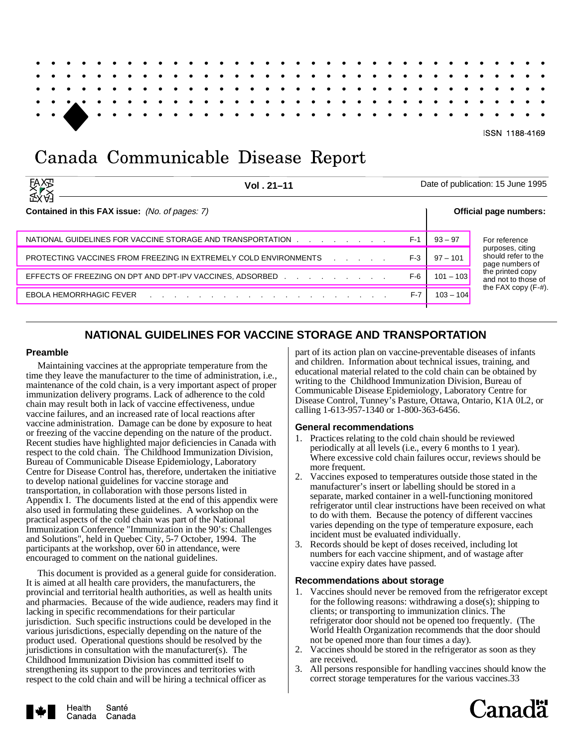ISSN 1188-4169

# Canada Communicable Disease Report

| <b>EAXAR</b><br>SEX<br>SEX | Vol. 21-11                                                                                                                                                                                                                                                       |       | Date of publication: 15 June 1995 |                                         |  |  |  |
|----------------------------|------------------------------------------------------------------------------------------------------------------------------------------------------------------------------------------------------------------------------------------------------------------|-------|-----------------------------------|-----------------------------------------|--|--|--|
|                            | <b>Contained in this FAX issue:</b> (No. of pages: 7)                                                                                                                                                                                                            |       |                                   | Official page numbers:                  |  |  |  |
|                            | NATIONAL GUIDELINES FOR VACCINE STORAGE AND TRANSPORTATION                                                                                                                                                                                                       | $F-1$ | $93 - 97$                         | For reference<br>purposes, citing       |  |  |  |
|                            | PROTECTING VACCINES FROM FREEZING IN EXTREMELY COLD ENVIRONMENTS<br>and the company of the company                                                                                                                                                               | $F-3$ | $97 - 101$                        | should refer to the<br>page numbers of  |  |  |  |
|                            | EFFECTS OF FREEZING ON DPT AND DPT-IPV VACCINES, ADSORBED And the state of the state of the state of the state of the state of the state of the state of the state of the state of the state of the state of the state of the                                    | $F-6$ | $101 - 103$                       | the printed copy<br>and not to those of |  |  |  |
|                            | <b>EBOLA HEMORRHAGIC FEVER</b><br>the contract of the contract of the contract of the contract of the contract of the contract of the contract of the contract of the contract of the contract of the contract of the contract of the contract of the contract o | $F-7$ | $103 - 104$                       | the FAX copy $(F-#)$ .                  |  |  |  |

# **NATIONAL GUIDELINES FOR VACCINE STORAGE AND TRANSPORTATION**

## **Preamble**

Maintaining vaccines at the appropriate temperature from the time they leave the manufacturer to the time of administration, i.e., maintenance of the cold chain, is a very important aspect of proper immunization delivery programs. Lack of adherence to the cold chain may result both in lack of vaccine effectiveness, undue vaccine failures, and an increased rate of local reactions after vaccine administration. Damage can be done by exposure to heat or freezing of the vaccine depending on the nature of the product. Recent studies have highlighted major deficiencies in Canada with respect to the cold chain. The Childhood Immunization Division, Bureau of Communicable Disease Epidemiology, Laboratory Centre for Disease Control has, therefore, undertaken the initiative to develop national guidelines for vaccine storage and transportation, in collaboration with those persons listed in Appendix I. The documents listed at the end of this appendix were also used in formulating these guidelines. A workshop on the practical aspects of the cold chain was part of the National Immunization Conference "Immunization in the 90's: Challenges and Solutions", held in Quebec City, 5-7 October, 1994. The participants at the workshop, over 60 in attendance, were encouraged to comment on the national guidelines.

This document is provided as a general guide for consideration. It is aimed at all health care providers, the manufacturers, the provincial and territorial health authorities, as well as health units and pharmacies. Because of the wide audience, readers may find it lacking in specific recommendations for their particular jurisdiction. Such specific instructions could be developed in the various jurisdictions, especially depending on the nature of the product used. Operational questions should be resolved by the jurisdictions in consultation with the manufacturer(s). The Childhood Immunization Division has committed itself to strengthening its support to the provinces and territories with respect to the cold chain and will be hiring a technical officer as

part of its action plan on vaccine-preventable diseases of infants and children. Information about technical issues, training, and educational material related to the cold chain can be obtained by writing to the Childhood Immunization Division, Bureau of Communicable Disease Epidemiology, Laboratory Centre for Disease Control, Tunney's Pasture, Ottawa, Ontario, K1A 0L2, or calling 1-613-957-1340 or 1-800-363-6456.

## **General recommendations**

- 1. Practices relating to the cold chain should be reviewed periodically at all levels (i.e., every 6 months to 1 year). Where excessive cold chain failures occur, reviews should be more frequent.
- 2. Vaccines exposed to temperatures outside those stated in the manufacturer's insert or labelling should be stored in a separate, marked container in a well-functioning monitored refrigerator until clear instructions have been received on what to do with them. Because the potency of different vaccines varies depending on the type of temperature exposure, each incident must be evaluated individually.
- 3. Records should be kept of doses received, including lot numbers for each vaccine shipment, and of wastage after vaccine expiry dates have passed.

## **Recommendations about storage**

- 1. Vaccines should never be removed from the refrigerator except for the following reasons: withdrawing a dose(s); shipping to clients; or transporting to immunization clinics. The refrigerator door should not be opened too frequently. (The World Health Organization recommends that the door should not be opened more than four times a day).
- 2. Vaccines should be stored in the refrigerator as soon as they are received.
- 3. All persons responsible for handling vaccines should know the correct storage temperatures for the various vaccines.33



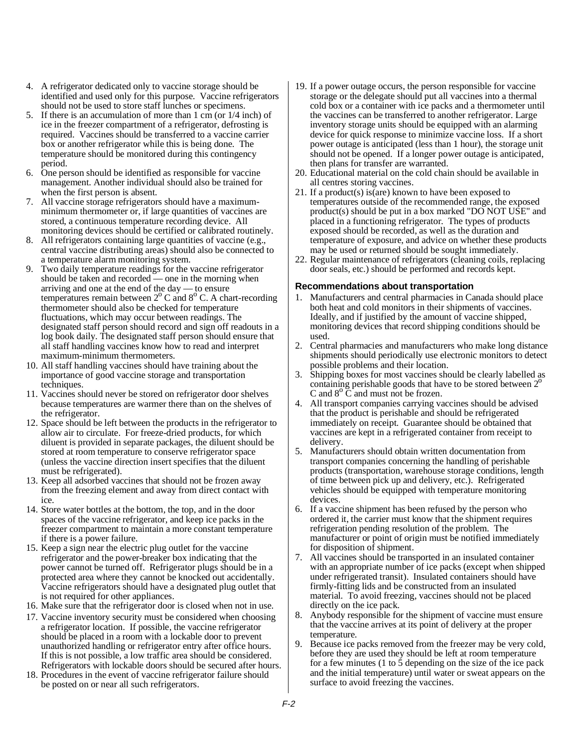- 4. A refrigerator dedicated only to vaccine storage should be identified and used only for this purpose. Vaccine refrigerators should not be used to store staff lunches or specimens.
- 5. If there is an accumulation of more than 1 cm (or 1/4 inch) of ice in the freezer compartment of a refrigerator, defrosting is required. Vaccines should be transferred to a vaccine carrier box or another refrigerator while this is being done. The temperature should be monitored during this contingency period.
- 6. One person should be identified as responsible for vaccine management. Another individual should also be trained for when the first person is absent.
- 7. All vaccine storage refrigerators should have a maximumminimum thermometer or, if large quantities of vaccines are stored, a continuous temperature recording device. All monitoring devices should be certified or calibrated routinely.
- 8. All refrigerators containing large quantities of vaccine (e.g., central vaccine distributing areas) should also be connected to a temperature alarm monitoring system.
- 9. Two daily temperature readings for the vaccine refrigerator should be taken and recorded — one in the morning when arriving and one at the end of the day — to ensure temperatures remain between  $2^{\circ}$  C and  $8^{\circ}$  C. A chart-recording thermometer should also be checked for temperature fluctuations, which may occur between readings. The designated staff person should record and sign off readouts in a log book daily. The designated staff person should ensure that all staff handling vaccines know how to read and interpret maximum-minimum thermometers.
- 10. All staff handling vaccines should have training about the importance of good vaccine storage and transportation techniques.
- 11. Vaccines should never be stored on refrigerator door shelves because temperatures are warmer there than on the shelves of the refrigerator.
- 12. Space should be left between the products in the refrigerator to allow air to circulate. For freeze-dried products, for which diluent is provided in separate packages, the diluent should be stored at room temperature to conserve refrigerator space (unless the vaccine direction insert specifies that the diluent must be refrigerated).
- 13. Keep all adsorbed vaccines that should not be frozen away from the freezing element and away from direct contact with ice.
- 14. Store water bottles at the bottom, the top, and in the door spaces of the vaccine refrigerator, and keep ice packs in the freezer compartment to maintain a more constant temperature if there is a power failure.
- 15. Keep a sign near the electric plug outlet for the vaccine refrigerator and the power-breaker box indicating that the power cannot be turned off. Refrigerator plugs should be in a protected area where they cannot be knocked out accidentally. Vaccine refrigerators should have a designated plug outlet that is not required for other appliances.
- 16. Make sure that the refrigerator door is closed when not in use.
- 17. Vaccine inventory security must be considered when choosing a refrigerator location. If possible, the vaccine refrigerator should be placed in a room with a lockable door to prevent unauthorized handling or refrigerator entry after office hours. If this is not possible, a low traffic area should be considered. Refrigerators with lockable doors should be secured after hours.
- 18. Procedures in the event of vaccine refrigerator failure should be posted on or near all such refrigerators.
- 19. If a power outage occurs, the person responsible for vaccine storage or the delegate should put all vaccines into a thermal cold box or a container with ice packs and a thermometer until the vaccines can be transferred to another refrigerator. Large inventory storage units should be equipped with an alarming device for quick response to minimize vaccine loss. If a short power outage is anticipated (less than 1 hour), the storage unit should not be opened. If a longer power outage is anticipated, then plans for transfer are warranted.
- 20. Educational material on the cold chain should be available in all centres storing vaccines.
- 21. If a product(s) is (are) known to have been exposed to temperatures outside of the recommended range, the exposed product(s) should be put in a box marked "DO NOT USE" and placed in a functioning refrigerator. The types of products exposed should be recorded, as well as the duration and temperature of exposure, and advice on whether these products may be used or returned should be sought immediately.
- 22. Regular maintenance of refrigerators (cleaning coils, replacing door seals, etc.) should be performed and records kept.

## **Recommendations about transportation**

- 1. Manufacturers and central pharmacies in Canada should place both heat and cold monitors in their shipments of vaccines. Ideally, and if justified by the amount of vaccine shipped, monitoring devices that record shipping conditions should be used.
- 2. Central pharmacies and manufacturers who make long distance shipments should periodically use electronic monitors to detect possible problems and their location.
- 3. Shipping boxes for most vaccines should be clearly labelled as containing perishable goods that have to be stored between  $2^{\circ}$ C and  $8^{\circ}$  C and must not be frozen.
- 4. All transport companies carrying vaccines should be advised that the product is perishable and should be refrigerated immediately on receipt. Guarantee should be obtained that vaccines are kept in a refrigerated container from receipt to delivery.
- 5. Manufacturers should obtain written documentation from transport companies concerning the handling of perishable products (transportation, warehouse storage conditions, length of time between pick up and delivery, etc.). Refrigerated vehicles should be equipped with temperature monitoring devices.
- 6. If a vaccine shipment has been refused by the person who ordered it, the carrier must know that the shipment requires refrigeration pending resolution of the problem. The manufacturer or point of origin must be notified immediately for disposition of shipment.
- 7. All vaccines should be transported in an insulated container with an appropriate number of ice packs (except when shipped under refrigerated transit). Insulated containers should have firmly-fitting lids and be constructed from an insulated material. To avoid freezing, vaccines should not be placed directly on the ice pack.
- 8. Anybody responsible for the shipment of vaccine must ensure that the vaccine arrives at its point of delivery at the proper temperature.
- 9. Because ice packs removed from the freezer may be very cold, before they are used they should be left at room temperature for a few minutes (1 to 5 depending on the size of the ice pack and the initial temperature) until water or sweat appears on the surface to avoid freezing the vaccines.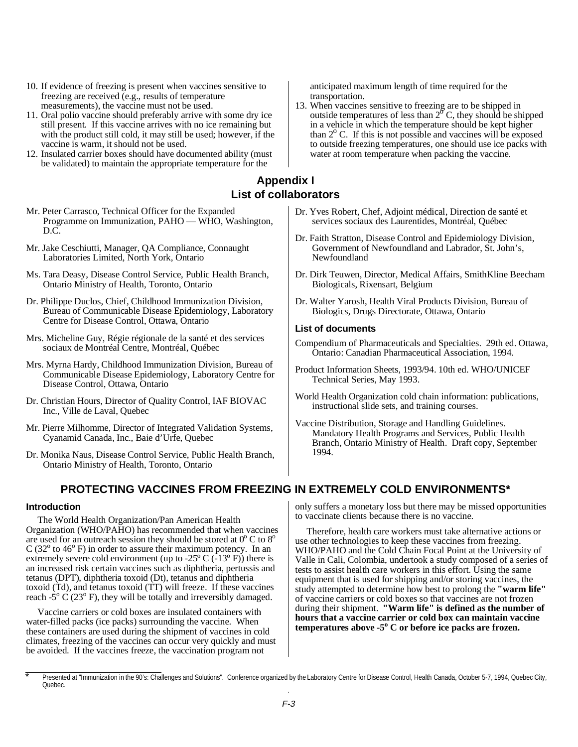- <span id="page-2-0"></span>10. If evidence of freezing is present when vaccines sensitive to freezing are received (e.g., results of temperature measurements), the vaccine must not be used.
- 11. Oral polio vaccine should preferably arrive with some dry ice still present. If this vaccine arrives with no ice remaining but with the product still cold, it may still be used; however, if the vaccine is warm, it should not be used.
- 12. Insulated carrier boxes should have documented ability (must be validated) to maintain the appropriate temperature for the
- Mr. Peter Carrasco, Technical Officer for the Expanded Programme on Immunization, PAHO — WHO, Washington, D.C.
- Mr. Jake Ceschiutti, Manager, QA Compliance, Connaught Laboratories Limited, North York, Ontario
- Ms. Tara Deasy, Disease Control Service, Public Health Branch, Ontario Ministry of Health, Toronto, Ontario
- Dr. Philippe Duclos, Chief, Childhood Immunization Division, Bureau of Communicable Disease Epidemiology, Laboratory Centre for Disease Control, Ottawa, Ontario
- Mrs. Micheline Guy, Régie régionale de la santé et des services sociaux de Montréal Centre, Montréal, Québec
- Mrs. Myrna Hardy, Childhood Immunization Division, Bureau of Communicable Disease Epidemiology, Laboratory Centre for Disease Control, Ottawa, Ontario
- Dr. Christian Hours, Director of Quality Control, IAF BIOVAC Inc., Ville de Laval, Quebec
- Mr. Pierre Milhomme, Director of Integrated Validation Systems, Cyanamid Canada, Inc., Baie d'Urfe, Quebec
- Dr. Monika Naus, Disease Control Service, Public Health Branch, Ontario Ministry of Health, Toronto, Ontario
	- **PROTECTING VACCINES FROM FREEZING IN EXTREMELY COLD ENVIRONMENTS\***

#### **Introduction**

The World Health Organization/Pan American Health Organization (WHO/PAHO) has recommended that when vaccines are used for an outreach session they should be stored at  $0^{\circ}$  C to  $8^{\circ}$  $C(32^{\circ}$  to 46 $^{\circ}$  F) in order to assure their maximum potency. In an extremely severe cold environment (up to -25 $\degree$  C (-13 $\degree$  F)) there is an increased risk certain vaccines such as diphtheria, pertussis and tetanus (DPT), diphtheria toxoid (Dt), tetanus and diphtheria toxoid (Td), and tetanus toxoid (TT) will freeze. If these vaccines reach -5<sup>o</sup>  $\dot{C}$  (23<sup>o</sup> F), they will be totally and irreversibly damaged.

Vaccine carriers or cold boxes are insulated containers with water-filled packs (ice packs) surrounding the vaccine. When these containers are used during the shipment of vaccines in cold climates, freezing of the vaccines can occur very quickly and must be avoided. If the vaccines freeze, the vaccination program not

anticipated maximum length of time required for the transportation.

13. When vaccines sensitive to freezing are to be shipped in outside temperatures of less than  $2^{\circ}$  C, they should be shipped in a vehicle in which the temperature should be kept higher than  $2^{\circ}$  C. If this is not possible and vaccines will be exposed to outside freezing temperatures, one should use ice packs with water at room temperature when packing the vaccine.

## **Appendix I List of collaborators**

- Dr. Yves Robert, Chef, Adjoint médical, Direction de santé et services sociaux des Laurentides, Montréal, Québec
- Dr. Faith Stratton, Disease Control and Epidemiology Division, Government of Newfoundland and Labrador, St. John's, Newfoundland
- Dr. Dirk Teuwen, Director, Medical Affairs, SmithKline Beecham Biologicals, Rixensart, Belgium
- Dr. Walter Yarosh, Health Viral Products Division, Bureau of Biologics, Drugs Directorate, Ottawa, Ontario

#### **List of documents**

- Compendium of Pharmaceuticals and Specialties. 29th ed. Ottawa, Ontario: Canadian Pharmaceutical Association, 1994.
- Product Information Sheets, 1993/94. 10th ed. WHO/UNICEF Technical Series, May 1993.
- World Health Organization cold chain information: publications, instructional slide sets, and training courses.
- Vaccine Distribution, Storage and Handling Guidelines. Mandatory Health Programs and Services, Public Health Branch, Ontario Ministry of Health. Draft copy, September 1994.

only suffers a monetary loss but there may be missed opportunities to vaccinate clients because there is no vaccine.

Therefore, health care workers must take alternative actions or use other technologies to keep these vaccines from freezing. WHO/PAHO and the Cold Chain Focal Point at the University of Valle in Cali, Colombia, undertook a study composed of a series of tests to assist health care workers in this effort. Using the same equipment that is used for shipping and/or storing vaccines, the study attempted to determine how best to prolong the **"warm life"** of vaccine carriers or cold boxes so that vaccines are not frozen during their shipment. **"Warm life" is defined as the number of hours that a vaccine carrier or cold box can maintain vaccine** temperatures above -5<sup>°</sup> C or before ice packs are frozen.

Presented at "Immunization in the 90's: Challenges and Solutions". Conference organized by the Laboratory Centre for Disease Control, Health Canada, October 5-7, 1994, Quebec City, Quebec.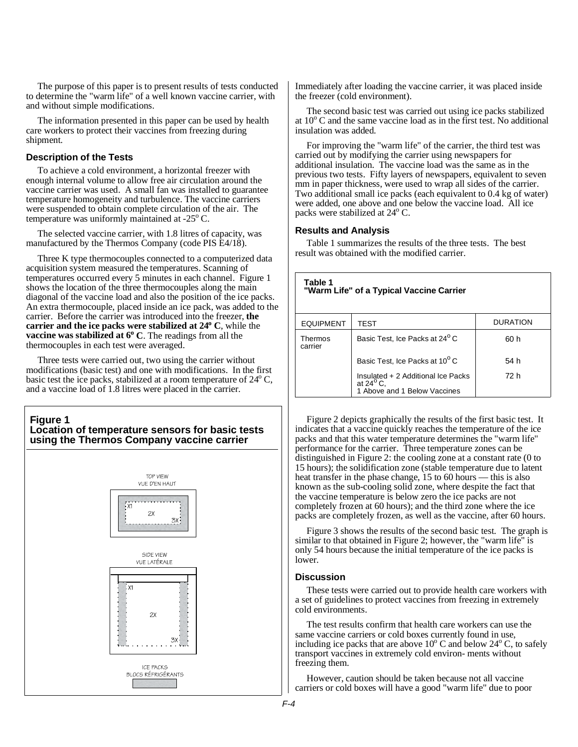The purpose of this paper is to present results of tests conducted to determine the "warm life" of a well known vaccine carrier, with and without simple modifications.

The information presented in this paper can be used by health care workers to protect their vaccines from freezing during shipment.

## **Description of the Tests**

To achieve a cold environment, a horizontal freezer with enough internal volume to allow free air circulation around the vaccine carrier was used. A small fan was installed to guarantee temperature homogeneity and turbulence. The vaccine carriers were suspended to obtain complete circulation of the air. The temperature was uniformly maintained at -25 $\rm ^{o}$  C.

The selected vaccine carrier, with 1.8 litres of capacity, was manufactured by the Thermos Company (code PIS E4/18).

Three K type thermocouples connected to a computerized data acquisition system measured the temperatures. Scanning of temperatures occurred every 5 minutes in each channel. Figure 1 shows the location of the three thermocouples along the main diagonal of the vaccine load and also the position of the ice packs. An extra thermocouple, placed inside an ice pack, was added to the carrier. Before the carrier was introduced into the freezer, **the** carrier and the ice packs were stabilized at 24<sup>°</sup> C, while the vaccine was stabilized at 6° C. The readings from all the thermocouples in each test were averaged.

Three tests were carried out, two using the carrier without modifications (basic test) and one with modifications. In the first basic test the ice packs, stabilized at a room temperature of  $24^{\circ}$  C, and a vaccine load of 1.8 litres were placed in the carrier.

## **Figure 1 Location of temperature sensors for basic tests using the Thermos Company vaccine carrier**



Immediately after loading the vaccine carrier, it was placed inside the freezer (cold environment).

The second basic test was carried out using ice packs stabilized at  $10^{\circ}$  C and the same vaccine load as in the first test. No additional insulation was added.

For improving the "warm life" of the carrier, the third test was carried out by modifying the carrier using newspapers for additional insulation. The vaccine load was the same as in the previous two tests. Fifty layers of newspapers, equivalent to seven mm in paper thickness, were used to wrap all sides of the carrier. Two additional small ice packs (each equivalent to 0.4 kg of water) were added, one above and one below the vaccine load. All ice packs were stabilized at 24<sup>o</sup> C.

## **Results and Analysis**

Table 1 summarizes the results of the three tests. The best result was obtained with the modified carrier.

| Table 1<br>"Warm Life" of a Typical Vaccine Carrier |                                                                                          |                 |  |  |  |  |  |  |  |  |
|-----------------------------------------------------|------------------------------------------------------------------------------------------|-----------------|--|--|--|--|--|--|--|--|
| <b>EQUIPMENT</b>                                    | TEST                                                                                     | <b>DURATION</b> |  |  |  |  |  |  |  |  |
| Thermos<br>carrier                                  | Basic Test, Ice Packs at 24 <sup>°</sup> C                                               | 60 h            |  |  |  |  |  |  |  |  |
|                                                     | Basic Test, Ice Packs at 10°C                                                            | 54 h            |  |  |  |  |  |  |  |  |
|                                                     | Insulated + 2 Additional Ice Packs<br>at $24^{\circ}$ C.<br>1 Above and 1 Below Vaccines | 72 h            |  |  |  |  |  |  |  |  |

Figure 2 depicts graphically the results of the first basic test. It indicates that a vaccine quickly reaches the temperature of the ice packs and that this water temperature determines the "warm life" performance for the carrier. Three temperature zones can be distinguished in Figure 2: the cooling zone at a constant rate (0 to 15 hours); the solidification zone (stable temperature due to latent heat transfer in the phase change, 15 to 60 hours — this is also known as the sub-cooling solid zone, where despite the fact that the vaccine temperature is below zero the ice packs are not completely frozen at 60 hours); and the third zone where the ice packs are completely frozen, as well as the vaccine, after 60 hours.

Figure 3 shows the results of the second basic test. The graph is similar to that obtained in Figure 2; however, the "warm life" is only 54 hours because the initial temperature of the ice packs is lower.

#### **Discussion**

These tests were carried out to provide health care workers with a set of guidelines to protect vaccines from freezing in extremely cold environments.

The test results confirm that health care workers can use the same vaccine carriers or cold boxes currently found in use, including ice packs that are above  $10^{\circ}$  C and below  $24^{\circ}$  C, to safely transport vaccines in extremely cold environ- ments without freezing them.

However, caution should be taken because not all vaccine carriers or cold boxes will have a good "warm life" due to poor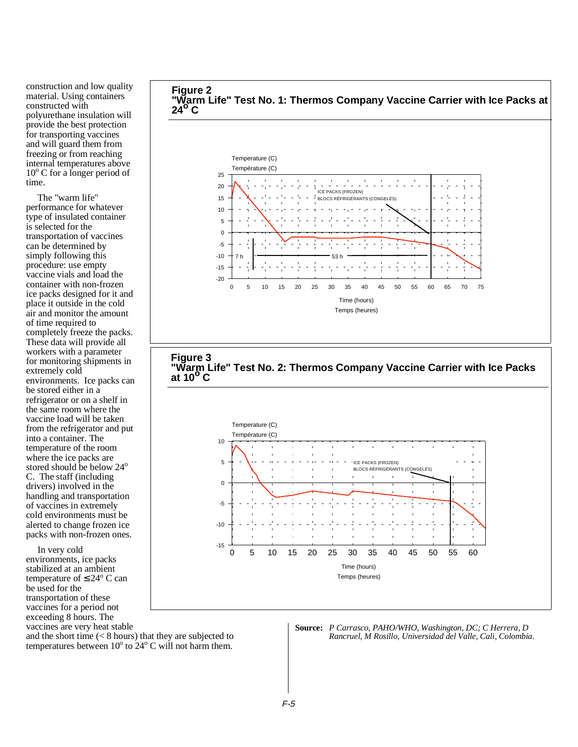construction and low quality material. Using containers constructed with polyurethane insulation will provide the best protection for transporting vaccines and will guard them from freezing or from reaching internal temperatures above 10° C for a longer period of time.

The "warm life" performance for whatever type of insulated container is selected for the transportation of vaccines can be determined by simply following this procedure: use empty vaccine vials and load the container with non-frozen ice packs designed for it and place it outside in the cold air and monitor the amount of time required to completely freeze the packs. These data will provide all workers with a parameter for monitoring shipments in extremely cold environments. Ice packs can be stored either in a refrigerator or on a shelf in the same room where the vaccine load will be taken from the refrigerator and put into a container. The temperature of the room where the ice packs are stored should be below 24<sup>o</sup> C. The staff (including drivers) involved in the handling and transportation of vaccines in extremely cold environments must be alerted to change frozen ice packs with non-frozen ones.

In very cold environments, ice packs stabilized at an ambient temperature of  $\leq 24^{\circ}$  C can be used for the transportation of these vaccines for a period not exceeding 8 hours. The vaccines are very heat stable





**Source:** *P Carrasco, PAHO/WHO, Washington, DC; C Herrera, D Rancruel, M Rosillo, Universidad del Valle, Cali, Colombia.*

and the short time (< 8 hours) that they are subjected to temperatures between  $10^{\circ}$  to  $24^{\circ}$  C will not harm them.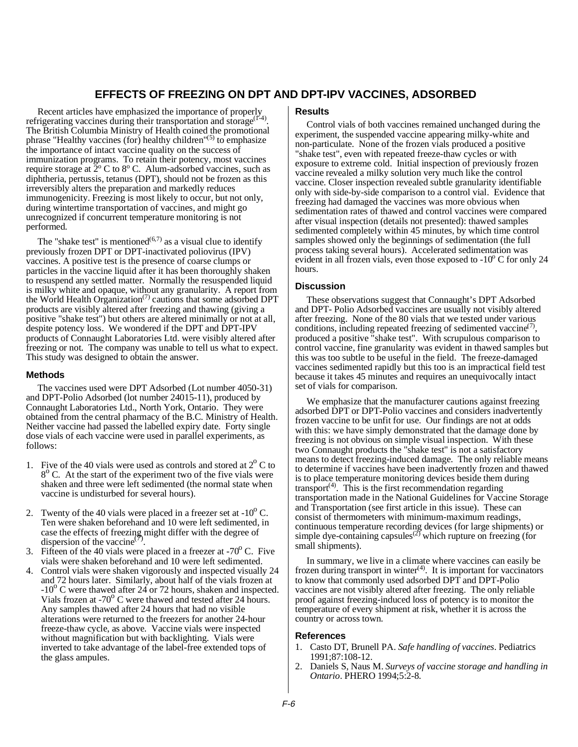## **EFFECTS OF FREEZING ON DPT AND DPT-IPV VACCINES, ADSORBED**

<span id="page-5-0"></span>Recent articles have emphasized the importance of properly refrigerating vaccines during their transportation and storage<sup>( $I^2$ 4)</sup>. The British Columbia Ministry of Health coined the promotional phrase "Healthy vaccines (for) healthy children"<sup>(5)</sup> to emphasize the importance of intact vaccine quality on the success of immunization programs. To retain their potency, most vaccines require storage at  $\frac{2}{9}$  C to  $8^{\circ}$  C. Alum-adsorbed vaccines, such as diphtheria, pertussis, tetanus (DPT), should not be frozen as this irreversibly alters the preparation and markedly reduces immunogenicity. Freezing is most likely to occur, but not only, during wintertime transportation of vaccines, and might go unrecognized if concurrent temperature monitoring is not performed.

The "shake test" is mentioned<sup> $(6,7)$ </sup> as a visual clue to identify previously frozen DPT or DPT-inactivated poliovirus (IPV) vaccines. A positive test is the presence of coarse clumps or particles in the vaccine liquid after it has been thoroughly shaken to resuspend any settled matter. Normally the resuspended liquid is milky white and opaque, without any granularity. A report from the World Health Organization<sup> $(7)$ </sup> cautions that some adsorbed DPT products are visibly altered after freezing and thawing (giving a positive "shake test") but others are altered minimally or not at all, despite potency loss. We wondered if the DPT and DPT-IPV products of Connaught Laboratories Ltd. were visibly altered after freezing or not. The company was unable to tell us what to expect. This study was designed to obtain the answer.

#### **Methods**

The vaccines used were DPT Adsorbed (Lot number 4050-31) and DPT-Polio Adsorbed (lot number 24015-11), produced by Connaught Laboratories Ltd., North York, Ontario. They were obtained from the central pharmacy of the B.C. Ministry of Health. Neither vaccine had passed the labelled expiry date. Forty single dose vials of each vaccine were used in parallel experiments, as follows:

- 1. Five of the 40 vials were used as controls and stored at  $2^{\circ}$  C to  $8^{\circ}$  C. At the start of the experiment two of the five vials were shaken and three were left sedimented (the normal state when vaccine is undisturbed for several hours).
- 2. Twenty of the 40 vials were placed in a freezer set at  $-10^{\circ}$  C. Ten were shaken beforehand and 10 were left sedimented, in case the effects of freezing might differ with the degree of dispersion of the vaccine<sup>(7)</sup>.
- 3. Fifteen of the 40 vials were placed in a freezer at  $-70^{\circ}$  C. Five vials were shaken beforehand and 10 were left sedimented.
- 4. Control vials were shaken vigorously and inspected visually 24 and 72 hours later. Similarly, about half of the vials frozen at  $-10^{\circ}$  C were thawed after 24 or 72 hours, shaken and inspected. Vials frozen at  $-70^{\circ}$  C were thawed and tested after 24 hours. Any samples thawed after 24 hours that had no visible alterations were returned to the freezers for another 24-hour freeze-thaw cycle, as above. Vaccine vials were inspected without magnification but with backlighting. Vials were inverted to take advantage of the label-free extended tops of the glass ampules.

## **Results**

Control vials of both vaccines remained unchanged during the experiment, the suspended vaccine appearing milky-white and non-particulate. None of the frozen vials produced a positive "shake test", even with repeated freeze-thaw cycles or with exposure to extreme cold. Initial inspection of previously frozen vaccine revealed a milky solution very much like the control vaccine. Closer inspection revealed subtle granularity identifiable only with side-by-side comparison to a control vial. Evidence that freezing had damaged the vaccines was more obvious when sedimentation rates of thawed and control vaccines were compared after visual inspection (details not presented): thawed samples sedimented completely within 45 minutes, by which time control samples showed only the beginnings of sedimentation (the full process taking several hours). Accelerated sedimentation was evident in all frozen vials, even those exposed to  $-10^{\circ}$  C for only 24 hours.

#### **Discussion**

These observations suggest that Connaught's DPT Adsorbed and DPT- Polio Adsorbed vaccines are usually not visibly altered after freezing. None of the 80 vials that we tested under various conditions, including repeated freezing of sedimented vaccine<sup> $(7)$ </sup>. produced a positive "shake test". With scrupulous comparison to control vaccine, fine granularity was evident in thawed samples but this was too subtle to be useful in the field. The freeze-damaged vaccines sedimented rapidly but this too is an impractical field test because it takes 45 minutes and requires an unequivocally intact set of vials for comparison.

We emphasize that the manufacturer cautions against freezing adsorbed DPT or DPT-Polio vaccines and considers inadvertently frozen vaccine to be unfit for use. Our findings are not at odds with this: we have simply demonstrated that the damage done by freezing is not obvious on simple visual inspection. With these two Connaught products the "shake test" is not a satisfactory means to detect freezing-induced damage. The only reliable means to determine if vaccines have been inadvertently frozen and thawed is to place temperature monitoring devices beside them during transport<sup> $(4)$ </sup>. This is the first recommendation regarding transportation made in the National Guidelines for Vaccine Storage and Transportation (see first article in this issue). These can consist of thermometers with minimum-maximum readings, continuous temperature recording devices (for large shipments) or simple dye-containing capsules<sup> $(2)$ </sup> which rupture on freezing (for small shipments).

In summary, we live in a climate where vaccines can easily be frozen during transport in winter $(4)$ . It is important for vaccinators to know that commonly used adsorbed DPT and DPT-Polio vaccines are not visibly altered after freezing. The only reliable proof against freezing-induced loss of potency is to monitor the temperature of every shipment at risk, whether it is across the country or across town.

#### **References**

- 1. Casto DT, Brunell PA. *Safe handling of vaccines*. Pediatrics 1991;87:108-12.
- 2. Daniels S, Naus M. *Surveys of vaccine storage and handling in Ontario*. PHERO 1994;5:2-8.